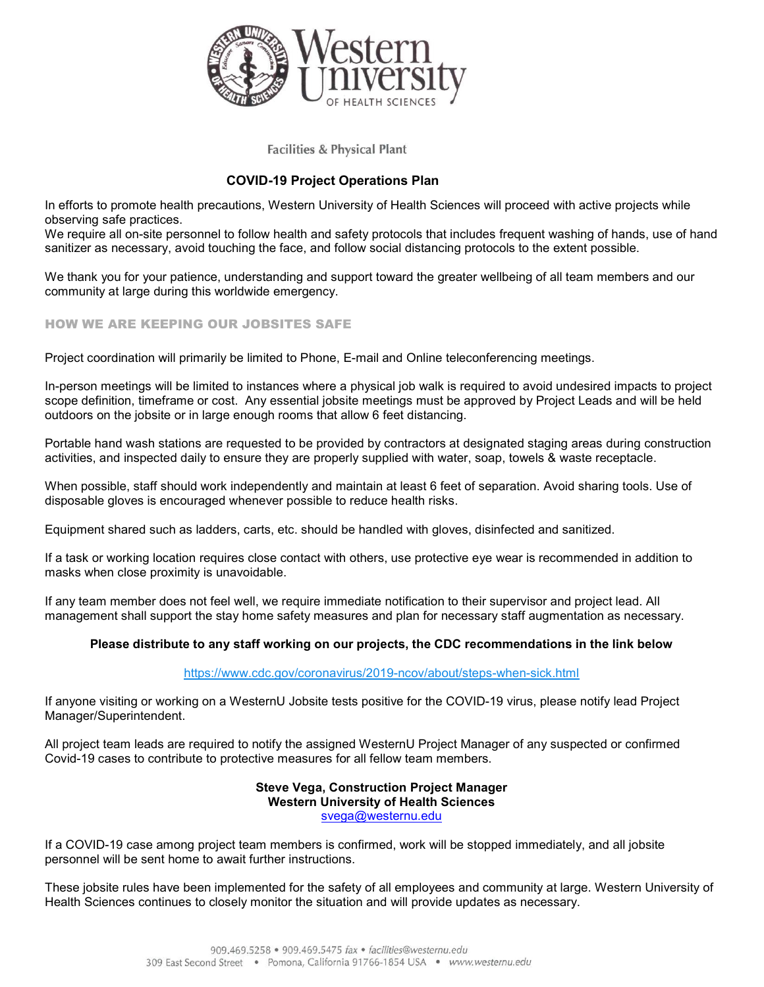

**Facilities & Physical Plant** 

# COVID-19 Project Operations Plan

In efforts to promote health precautions, Western University of Health Sciences will proceed with active projects while observing safe practices.

We require all on-site personnel to follow health and safety protocols that includes frequent washing of hands, use of hand sanitizer as necessary, avoid touching the face, and follow social distancing protocols to the extent possible.

We thank you for your patience, understanding and support toward the greater wellbeing of all team members and our community at large during this worldwide emergency.

## HOW WE ARE KEEPING OUR JOBSITES SAFE

Project coordination will primarily be limited to Phone, E-mail and Online teleconferencing meetings.

In-person meetings will be limited to instances where a physical job walk is required to avoid undesired impacts to project scope definition, timeframe or cost. Any essential jobsite meetings must be approved by Project Leads and will be held outdoors on the jobsite or in large enough rooms that allow 6 feet distancing.

Portable hand wash stations are requested to be provided by contractors at designated staging areas during construction activities, and inspected daily to ensure they are properly supplied with water, soap, towels & waste receptacle.

When possible, staff should work independently and maintain at least 6 feet of separation. Avoid sharing tools. Use of disposable gloves is encouraged whenever possible to reduce health risks.

Equipment shared such as ladders, carts, etc. should be handled with gloves, disinfected and sanitized.

If a task or working location requires close contact with others, use protective eye wear is recommended in addition to masks when close proximity is unavoidable.

If any team member does not feel well, we require immediate notification to their supervisor and project lead. All management shall support the stay home safety measures and plan for necessary staff augmentation as necessary.

### Please distribute to any staff working on our projects, the CDC recommendations in the link below

### https://www.cdc.gov/coronavirus/2019-ncov/about/steps-when-sick.html

If anyone visiting or working on a WesternU Jobsite tests positive for the COVID-19 virus, please notify lead Project Manager/Superintendent.

All project team leads are required to notify the assigned WesternU Project Manager of any suspected or confirmed Covid-19 cases to contribute to protective measures for all fellow team members.

### Steve Vega, Construction Project Manager Western University of Health Sciences svega@westernu.edu

If a COVID-19 case among project team members is confirmed, work will be stopped immediately, and all jobsite personnel will be sent home to await further instructions.

These jobsite rules have been implemented for the safety of all employees and community at large. Western University of Health Sciences continues to closely monitor the situation and will provide updates as necessary.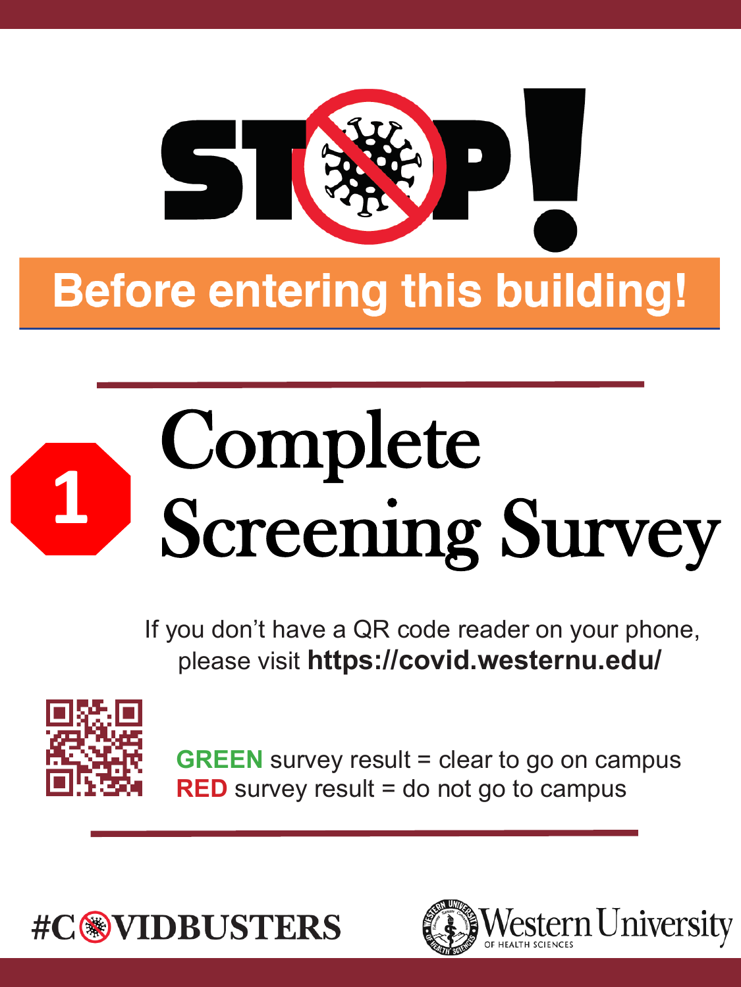

# Complete Screening Survey

If you don't have a QR code reader on your phone, please visit **https://covid.westernu.edu/** 



**GREEN** survey result = clear to go on campus **RED** survey result = do not go to campus